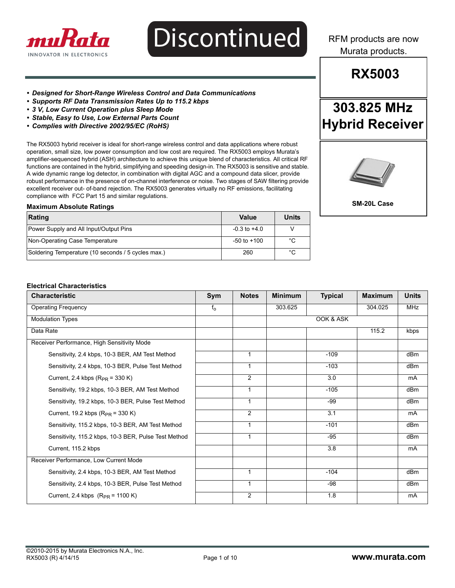

# **Discontinued**

RFM products are now Murata products.

## **RX5003**

**303.825 MHz**

**Hybrid Receiver**

- *Designed for Short-Range Wireless Control and Data Communications*
- *Supports RF Data Transmission Rates Up to 115.2 kbps*
- *3 V, Low Current Operation plus Sleep Mode*
- *Stable, Easy to Use, Low External Parts Count*
- *Complies with Directive 2002/95/EC (RoHS)*

The RX5003 hybrid receiver is ideal for short-range wireless control and data applications where robust operation, small size, low power consumption and low cost are required. The RX5003 employs Murata's amplifier-sequenced hybrid (ASH) architecture to achieve this unique blend of characteristics. All critical RF functions are contained in the hybrid, simplifying and speeding design-in. The RX5003 is sensitive and stable. A wide dynamic range log detector, in combination with digital AGC and a compound data slicer, provide robust performance in the presence of on-channel interference or noise. Two stages of SAW filtering provide excellent receiver out- of-band rejection. The RX5003 generates virtually no RF emissions, facilitating compliance with FCC Part 15 and similar regulations.

#### **Maximum Absolute Ratings**

| Rating                                             | Value            | Units |
|----------------------------------------------------|------------------|-------|
| Power Supply and All Input/Output Pins             | $-0.3$ to $+4.0$ |       |
| Non-Operating Case Temperature                     | $-50$ to $+100$  | °C    |
| Soldering Temperature (10 seconds / 5 cycles max.) | 260              | °C    |

**SM-20L Case** 

#### **Electrical Characteristics**

| <b>Characteristic</b>                                | Sym     | <b>Notes</b>   | <b>Minimum</b> | <b>Typical</b>   | <b>Maximum</b> | <b>Units</b>    |
|------------------------------------------------------|---------|----------------|----------------|------------------|----------------|-----------------|
| <b>Operating Frequency</b>                           | $f_{o}$ |                | 303.625        |                  | 304.025        | <b>MHz</b>      |
| <b>Modulation Types</b>                              |         |                |                | OOK & ASK        |                |                 |
| Data Rate                                            |         |                |                |                  | 115.2          | kbps            |
| Receiver Performance, High Sensitivity Mode          |         |                |                |                  |                |                 |
| Sensitivity, 2.4 kbps, 10-3 BER, AM Test Method      |         | 1              |                | $-109$           |                | dBm             |
| Sensitivity, 2.4 kbps, 10-3 BER, Pulse Test Method   |         | $\mathbf{1}$   |                | $-103$           |                | dBm             |
| Current, 2.4 kbps $(R_{PR} = 330 K)$                 |         | $\overline{2}$ |                | $\overline{3.0}$ |                | mA              |
| Sensitivity, 19.2 kbps, 10-3 BER, AM Test Method     |         | 1              |                | $-105$           |                | dBm             |
| Sensitivity, 19.2 kbps, 10-3 BER, Pulse Test Method  |         | 1              |                | $-99$            |                | dBm             |
| Current, 19.2 kbps $(R_{PR} = 330 \text{ K})$        |         | $\overline{2}$ |                | 3.1              |                | mA              |
| Sensitivity, 115.2 kbps, 10-3 BER, AM Test Method    |         | 1              |                | $-101$           |                | dB <sub>m</sub> |
| Sensitivity, 115.2 kbps, 10-3 BER, Pulse Test Method |         | $\mathbf{1}$   |                | $-95$            |                | dB <sub>m</sub> |
| Current, 115.2 kbps                                  |         |                |                | 3.8              |                | mA              |
| Receiver Performance, Low Current Mode               |         |                |                |                  |                |                 |
| Sensitivity, 2.4 kbps, 10-3 BER, AM Test Method      |         | 1              |                | $-104$           |                | dBm             |
| Sensitivity, 2.4 kbps, 10-3 BER, Pulse Test Method   |         | $\mathbf{1}$   |                | -98              |                | dBm             |
| Current, 2.4 kbps $(R_{PR} = 1100 \text{ K})$        |         | 2              |                | 1.8              |                | mA              |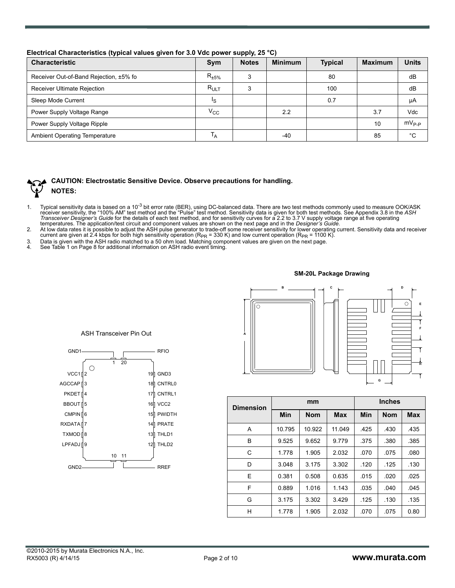AGCCAP ∥3 4 PKDET 5 CMPIN ∏6 7

BBOUT

VCC1∏2

C

GND1

9 LPFADJ

GND2

TXMOD<sup>18</sup>

RXDATA

#### **Electrical Characteristics (typical values given for 3.0 Vdc power supply, 25 °C)**

| .<br><b>Characteristic</b>             | <b>Sym</b>     | <b>Notes</b> | <b>Minimum</b> | <b>Typical</b> | <b>Maximum</b> | <b>Units</b> |
|----------------------------------------|----------------|--------------|----------------|----------------|----------------|--------------|
| Receiver Out-of-Band Rejection, ±5% fo | $R_{\pm 5\%}$  |              |                | 80             |                | dB           |
| Receiver Ultimate Rejection            | $R_{ULT}$      | 3            |                | 100            |                | dB           |
| Sleep Mode Current                     | Ιs             |              |                | 0.7            |                | μA           |
| Power Supply Voltage Range             | $V_{\rm CC}$   |              | 2.2            |                | 3.7            | Vdc          |
| Power Supply Voltage Ripple            |                |              |                |                | 10             | $mV_{P-P}$   |
| <b>Ambient Operating Temperature</b>   | <sup>1</sup> A |              | -40            |                | 85             | °C           |

### **CAUTION: Electrostatic Sensitive Device. Observe precautions for handling. NOTES:**

- 1. Typical sensitivity data is based on a 10<sup>-3</sup> bit error rate (BER), using DC-balanced data. There are two test methods commonly used to measure OOK/ASK receiver sensitivity, the "100% AM" test method and the "Pulse" tes
- 2. At low data rates it is possible to adjust the ASH pulse generator to trade-off some receiver sensitivity for lower operating current. Sensitivity data and receiver current are given at 2.4 kbps for both high sensitivity operation (R<sub>PR</sub> = 330 K) and low current operation (R<sub>PR</sub> = 1100 K).<br>3. Data is given with the ASH radio matched to a 50 ohm load. Matching component values are giv
- 
- 4. See Table 1 on Page 8 for additional information on ASH radio event timing.

11

13 TXMOD THLD1

10

ASH Transceiver Pin Out

 $\overline{20}$ 

12 THLD2

RREF

14 PRATE 15 PWIDTH 16 VCC2 17 CNTRL1

19 GND3

18 CNTRL0

RFIO



| <b>Dimension</b> |            | mm         |            | <b>Inches</b> |            |            |
|------------------|------------|------------|------------|---------------|------------|------------|
|                  | <b>Min</b> | <b>Nom</b> | <b>Max</b> | Min           | <b>Nom</b> | <b>Max</b> |
| A                | 10.795     | 10.922     | 11.049     | .425          | .430       | .435       |
| B                | 9.525      | 9.652      | 9.779      | .375          | .380       | .385       |
| C                | 1.778      | 1.905      | 2.032      | .070          | .075       | .080       |
| D                | 3.048      | 3.175      | 3.302      | .120          | .125       | .130       |
| E                | 0.381      | 0.508      | 0.635      | .015          | .020       | .025       |
| F                | 0.889      | 1.016      | 1.143      | .035          | .040       | .045       |
| G                | 3.175      | 3.302      | 3.429      | .125          | .130       | .135       |
| н                | 1.778      | 1.905      | 2.032      | .070          | .075       | 0.80       |

**SM-20L Package Drawing**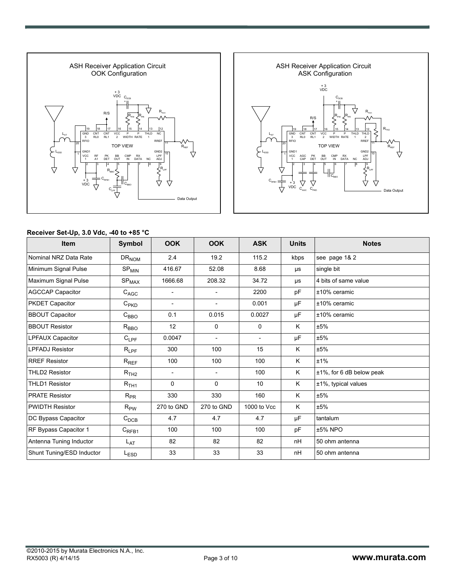



#### **Receiver Set-Up, 3.0 Vdc, -40 to +85 °C**

| <b>Item</b>               | Symbol                       | <b>OOK</b>               | <b>OOK</b>               | <b>ASK</b>               | <b>Units</b> | <b>Notes</b>                 |
|---------------------------|------------------------------|--------------------------|--------------------------|--------------------------|--------------|------------------------------|
| Nominal NRZ Data Rate     | $DR_{NOM}$                   | 2.4                      | 19.2                     | 115.2                    | kbps         | see page 1& 2                |
| Minimum Signal Pulse      | $\mathrm{SP}_{\mathrm{MIN}}$ | 416.67                   | 52.08                    | 8.68                     | μs           | single bit                   |
| Maximum Signal Pulse      | $\mathrm{SP}_{\mathrm{MAX}}$ | 1666.68                  | 208.32                   | 34.72                    | μs           | 4 bits of same value         |
| <b>AGCCAP Capacitor</b>   | $C_{AGC}$                    | $\overline{\phantom{a}}$ | $\overline{\phantom{a}}$ | 2200                     | pF           | ±10% ceramic                 |
| <b>PKDET Capacitor</b>    | $C_{PKD}$                    | $\overline{\phantom{a}}$ | $\overline{\phantom{a}}$ | 0.001                    | μF           | $±10\%$ ceramic              |
| <b>BBOUT Capacitor</b>    | $C_{\mathsf{BBO}}$           | 0.1                      | 0.015                    | 0.0027                   | μF           | $±10\%$ ceramic              |
| <b>BBOUT Resistor</b>     | $R_{\text{BBO}}$             | 12                       | 0                        | $\mathbf 0$              | K            | ±5%                          |
| LPFAUX Capacitor          | $C_{LPF}$                    | 0.0047                   | $\overline{\phantom{a}}$ | $\overline{\phantom{a}}$ | μF           | ±5%                          |
| <b>LPFADJ Resistor</b>    | $R_{\mathsf{LPF}}$           | 300                      | 100                      | 15                       | K            | ±5%                          |
| <b>RREF Resistor</b>      | $R_{REF}$                    | 100                      | 100                      | 100                      | K            | ±1%                          |
| <b>THLD2 Resistor</b>     | $R$ <sub>TH2</sub>           | $\overline{a}$           |                          | 100                      | K            | $±1\%$ , for 6 dB below peak |
| <b>THLD1 Resistor</b>     | $R$ <sub>TH1</sub>           | $\Omega$                 | $\Omega$                 | 10                       | K            | ±1%, typical values          |
| <b>PRATE Resistor</b>     | $R_{PR}$                     | 330                      | 330                      | 160                      | K            | ±5%                          |
| <b>PWIDTH Resistor</b>    | $R_{PW}$                     | 270 to GND               | 270 to GND               | 1000 to Vcc              | K            | ±5%                          |
| DC Bypass Capacitor       | $C_{DCB}$                    | 4.7                      | 4.7                      | 4.7                      | μF           | tantalum                     |
| RF Bypass Capacitor 1     | $C_{RFB1}$                   | 100                      | 100                      | 100                      | pF           | ±5% NPO                      |
| Antenna Tuning Inductor   | $L_{\text{AT}}$              | 82                       | 82                       | 82                       | nH           | 50 ohm antenna               |
| Shunt Tuning/ESD Inductor | LESD                         | 33                       | 33                       | 33                       | nH           | 50 ohm antenna               |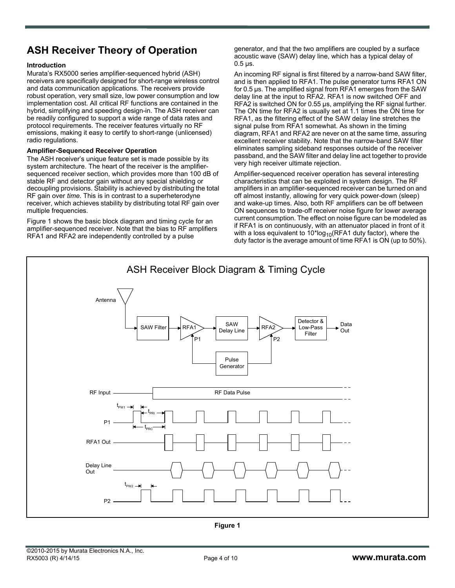## **ASH Receiver Theory of Operation**

#### **Introduction**

Murata's RX5000 series amplifier-sequenced hybrid (ASH) receivers are specifically designed for short-range wireless control and data communication applications. The receivers provide robust operation, very small size, low power consumption and low implementation cost. All critical RF functions are contained in the hybrid, simplifying and speeding design-in. The ASH receiver can be readily configured to support a wide range of data rates and protocol requirements. The receiver features virtually no RF emissions, making it easy to certify to short-range (unlicensed) radio regulations.

#### **Amplifier-Sequenced Receiver Operation**

The ASH receiver's unique feature set is made possible by its system architecture. The heart of the receiver is the amplifiersequenced receiver section, which provides more than 100 dB of stable RF and detector gain without any special shielding or decoupling provisions. Stability is achieved by distributing the total RF gain over *time*. This is in contrast to a superheterodyne receiver, which achieves stability by distributing total RF gain over multiple frequencies.

Figure 1 shows the basic block diagram and timing cycle for an amplifier-sequenced receiver. Note that the bias to RF amplifiers RFA1 and RFA2 are independently controlled by a pulse

generator, and that the two amplifiers are coupled by a surface acoustic wave (SAW) delay line, which has a typical delay of  $0.5$   $\mu$ s.

An incoming RF signal is first filtered by a narrow-band SAW filter, and is then applied to RFA1. The pulse generator turns RFA1 ON for 0.5 µs. The amplified signal from RFA1 emerges from the SAW delay line at the input to RFA2. RFA1 is now switched OFF and RFA2 is switched ON for 0.55 µs, amplifying the RF signal further. The ON time for RFA2 is usually set at 1.1 times the ON time for RFA1, as the filtering effect of the SAW delay line stretches the signal pulse from RFA1 somewhat. As shown in the timing diagram, RFA1 and RFA2 are never on at the same time, assuring excellent receiver stability. Note that the narrow-band SAW filter eliminates sampling sideband responses outside of the receiver passband, and the SAW filter and delay line act together to provide very high receiver ultimate rejection.

Amplifier-sequenced receiver operation has several interesting characteristics that can be exploited in system design. The RF amplifiers in an amplifier-sequenced receiver can be turned on and off almost instantly, allowing for very quick power-down (sleep) and wake-up times. Also, both RF amplifiers can be off between ON sequences to trade-off receiver noise figure for lower average current consumption. The effect on noise figure can be modeled as if RFA1 is on continuously, with an attenuator placed in front of it with a loss equivalent to  $10*log_{10}(RFA1$  duty factor), where the duty factor is the average amount of time RFA1 is ON (up to 50%).

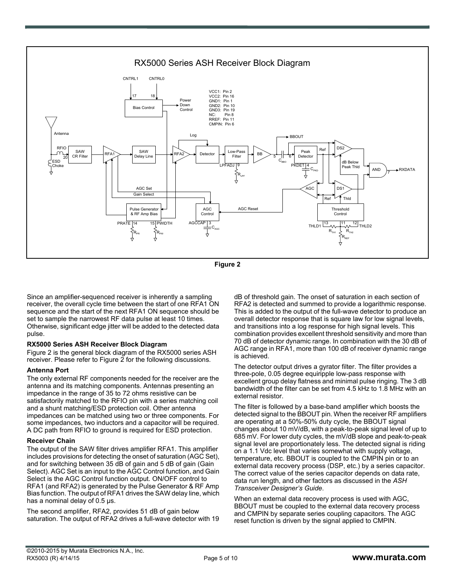

**Figure 2**

Since an amplifier-sequenced receiver is inherently a sampling receiver, the overall cycle time between the start of one RFA1 ON sequence and the start of the next RFA1 ON sequence should be set to sample the narrowest RF data pulse at least 10 times. Otherwise, significant edge jitter will be added to the detected data pulse.

#### **RX5000 Series ASH Receiver Block Diagram**

Figure 2 is the general block diagram of the RX5000 series ASH receiver. Please refer to Figure 2 for the following discussions.

#### **Antenna Port**

The only external RF components needed for the receiver are the antenna and its matching components. Antennas presenting an impedance in the range of 35 to 72 ohms resistive can be satisfactorily matched to the RFIO pin with a series matching coil and a shunt matching/ESD protection coil. Other antenna impedances can be matched using two or three components. For some impedances, two inductors and a capacitor will be required. A DC path from RFIO to ground is required for ESD protection.

#### **Receiver Chain**

The output of the SAW filter drives amplifier RFA1. This amplifier includes provisions for detecting the onset of saturation (AGC Set), and for switching between 35 dB of gain and 5 dB of gain (Gain Select). AGC Set is an input to the AGC Control function, and Gain Select is the AGC Control function output. ON/OFF control to RFA1 (and RFA2) is generated by the Pulse Generator & RF Amp Bias function. The output of RFA1 drives the SAW delay line, which has a nominal delay of 0.5  $\mu$ s.

The second amplifier, RFA2, provides 51 dB of gain below saturation. The output of RFA2 drives a full-wave detector with 19 dB of threshold gain. The onset of saturation in each section of RFA2 is detected and summed to provide a logarithmic response. This is added to the output of the full-wave detector to produce an overall detector response that is square law for low signal levels, and transitions into a log response for high signal levels. This combination provides excellent threshold sensitivity and more than 70 dB of detector dynamic range. In combination with the 30 dB of AGC range in RFA1, more than 100 dB of receiver dynamic range is achieved.

The detector output drives a gyrator filter. The filter provides a three-pole, 0.05 degree equiripple low-pass response with excellent group delay flatness and minimal pulse ringing. The 3 dB bandwidth of the filter can be set from 4.5 kHz to 1.8 MHz with an external resistor.

The filter is followed by a base-band amplifier which boosts the detected signal to the BBOUT pin. When the receiver RF amplifiers are operating at a 50%-50% duty cycle, the BBOUT signal changes about 10 mV/dB, with a peak-to-peak signal level of up to 685 mV. For lower duty cycles, the mV/dB slope and peak-to-peak signal level are proportionately less. The detected signal is riding on a 1.1 Vdc level that varies somewhat with supply voltage, temperature, etc. BBOUT is coupled to the CMPIN pin or to an external data recovery process (DSP, etc.) by a series capacitor. The correct value of the series capacitor depends on data rate, data run length, and other factors as discussed in the *ASH Transceiver Designer's Guide*.

When an external data recovery process is used with AGC, BBOUT must be coupled to the external data recovery process and CMPIN by separate series coupling capacitors. The AGC reset function is driven by the signal applied to CMPIN.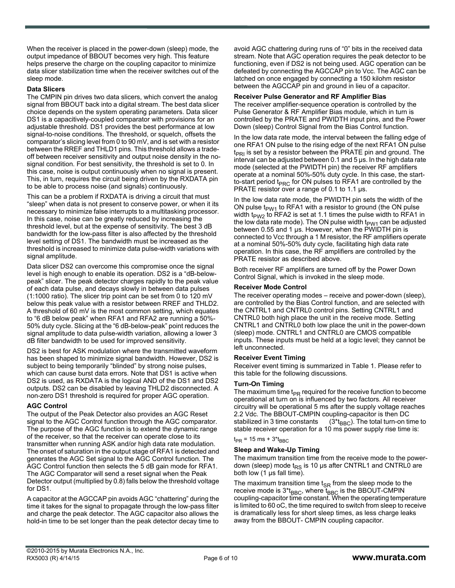When the receiver is placed in the power-down (sleep) mode, the output impedance of BBOUT becomes very high. This feature helps preserve the charge on the coupling capacitor to minimize data slicer stabilization time when the receiver switches out of the sleep mode.

#### **Data Slicers**

The CMPIN pin drives two data slicers, which convert the analog signal from BBOUT back into a digital stream. The best data slicer choice depends on the system operating parameters. Data slicer DS1 is a capacitively-coupled comparator with provisions for an adjustable threshold. DS1 provides the best performance at low signal-to-noise conditions. The threshold, or squelch, offsets the comparator's slicing level from 0 to 90 mV, and is set with a resistor between the RREF and THLD1 pins. This threshold allows a tradeoff between receiver sensitivity and output noise density in the nosignal condition. For best sensitivity, the threshold is set to 0. In this case, noise is output continuously when no signal is present. This, in turn, requires the circuit being driven by the RXDATA pin to be able to process noise (and signals) continuously.

This can be a problem if RXDATA is driving a circuit that must "sleep" when data is not present to conserve power, or when it its necessary to minimize false interrupts to a multitasking processor. In this case, noise can be greatly reduced by increasing the threshold level, but at the expense of sensitivity. The best 3 dB bandwidth for the low-pass filter is also affected by the threshold level setting of DS1. The bandwidth must be increased as the threshold is increased to minimize data pulse-width variations with signal amplitude.

Data slicer DS2 can overcome this compromise once the signal level is high enough to enable its operation. DS2 is a "dB-belowpeak" slicer. The peak detector charges rapidly to the peak value of each data pulse, and decays slowly in between data pulses (1:1000 ratio). The slicer trip point can be set from 0 to 120 mV below this peak value with a resistor between RREF and THLD2. A threshold of 60 mV is the most common setting, which equates to "6 dB below peak" when RFA1 and RFA2 are running a 50%- 50% duty cycle. Slicing at the "6 dB-below-peak" point reduces the signal amplitude to data pulse-width variation, allowing a lower 3 dB filter bandwidth to be used for improved sensitivity.

DS2 is best for ASK modulation where the transmitted waveform has been shaped to minimize signal bandwidth. However, DS2 is subject to being temporarily "blinded" by strong noise pulses, which can cause burst data errors. Note that DS1 is active when DS2 is used, as RXDATA is the logical AND of the DS1 and DS2 outputs. DS2 can be disabled by leaving THLD2 disconnected. A non-zero DS1 threshold is required for proper AGC operation.

#### **AGC Control**

The output of the Peak Detector also provides an AGC Reset signal to the AGC Control function through the AGC comparator. The purpose of the AGC function is to extend the dynamic range of the receiver, so that the receiver can operate close to its transmitter when running ASK and/or high data rate modulation. The onset of saturation in the output stage of RFA1 is detected and generates the AGC Set signal to the AGC Control function. The AGC Control function then selects the 5 dB gain mode for RFA1. The AGC Comparator will send a reset signal when the Peak Detector output (multiplied by 0.8) falls below the threshold voltage for DS1.

A capacitor at the AGCCAP pin avoids AGC "chattering" during the time it takes for the signal to propagate through the low-pass filter and charge the peak detector. The AGC capacitor also allows the hold-in time to be set longer than the peak detector decay time to

avoid AGC chattering during runs of "0" bits in the received data stream. Note that AGC operation requires the peak detector to be functioning, even if DS2 is not being used. AGC operation can be defeated by connecting the AGCCAP pin to Vcc. The AGC can be latched on once engaged by connecting a 150 kilohm resistor between the AGCCAP pin and ground in lieu of a capacitor.

#### **Receiver Pulse Generator and RF Amplifier Bias**

The receiver amplifier-sequence operation is controlled by the Pulse Generator & RF Amplifier Bias module, which in turn is controlled by the PRATE and PWIDTH input pins, and the Power Down (sleep) Control Signal from the Bias Control function.

In the low data rate mode, the interval between the falling edge of one RFA1 ON pulse to the rising edge of the next RFA1 ON pulse  $t_{PR1}$  is set by a resistor between the PRATE pin and ground. The interval can be adjusted between 0.1 and 5 µs. In the high data rate mode (selected at the PWIDTH pin) the receiver RF amplifiers operate at a nominal 50%-50% duty cycle. In this case, the startto-start period t<sub>PRC</sub> for ON pulses to RFA1 are controlled by the PRATE resistor over a range of 0.1 to 1.1  $\mu$ s.

In the low data rate mode, the PWIDTH pin sets the width of the ON pulse  $t_{PW1}$  to RFA1 with a resistor to ground (the ON pulse width t<sub>PW2</sub> to RFA2 is set at 1.1 times the pulse width to RFA1 in the low data rate mode). The ON pulse width  $t_{PW1}$  can be adjusted between 0.55 and 1 µs. However, when the PWIDTH pin is connected to Vcc through a 1 M resistor, the RF amplifiers operate at a nominal 50%-50% duty cycle, facilitating high data rate operation. In this case, the RF amplifiers are controlled by the PRATE resistor as described above.

Both receiver RF amplifiers are turned off by the Power Down Control Signal, which is invoked in the sleep mode.

#### **Receiver Mode Control**

The receiver operating modes – receive and power-down (sleep), are controlled by the Bias Control function, and are selected with the CNTRL1 and CNTRL0 control pins. Setting CNTRL1 and CNTRL0 both high place the unit in the receive mode. Setting CNTRL1 and CNTRL0 both low place the unit in the power-down (sleep) mode. CNTRL1 and CNTRL0 are CMOS compatible inputs. These inputs must be held at a logic level; they cannot be left unconnected.

#### **Receiver Event Timing**

Receiver event timing is summarized in Table 1. Please refer to this table for the following discussions.

#### **Turn-On Timing**

The maximum time t<sub>PR</sub> required for the receive function to become operational at turn on is influenced by two factors. All receiver circuitry will be operational 5 ms after the supply voltage reaches 2.2 Vdc. The BBOUT-CMPIN coupling-capacitor is then DC stabilized in 3 time constants  $(3<sup>*</sup> t_{BBC})$ . The total turn-on time to stable receiver operation for a 10 ms power supply rise time is:

 $t_{PR}$  = 15 ms + 3\* $t_{BBC}$ 

#### **Sleep and Wake-Up Timing**

The maximum transition time from the receive mode to the powerdown (sleep) mode  $t_{RS}$  is 10 µs after CNTRL1 and CNTRL0 are both low (1 µs fall time).

The maximum transition time  $t_{SR}$  from the sleep mode to the receive mode is  $3*_{BBC}$ , where  $t_{BBC}$  is the BBOUT-CMPIN coupling-capacitor time constant. When the operating temperature is limited to 60 oC, the time required to switch from sleep to receive is dramatically less for short sleep times, as less charge leaks away from the BBOUT- CMPIN coupling capacitor.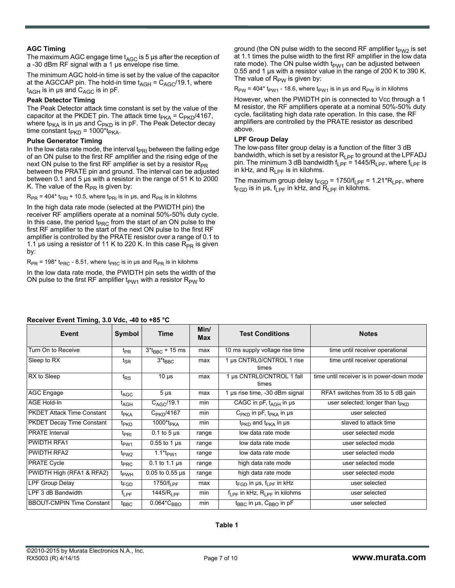#### **AGC Timing**

The maximum AGC engage time  $t_{AGC}$  is 5 µs after the reception of a -30 dBm RF signal with a 1 µs envelope rise time.

The minimum AGC hold-in time is set by the value of the capacitor at the AGCCAP pin. The hold-in time  $t_{AGH} = C_{AGC}/19.1$ , where  $t_{AGH}$  is in µs and  $C_{AGC}$  is in pF.

#### **Peak Detector Timing**

The Peak Detector attack time constant is set by the value of the capacitor at the PKDET pin. The attack time  $t_{PKA} = C_{PKD}/4167$ , where t<sub>PKA</sub> is in µs and C<sub>PKD</sub> is in pF. The Peak Detector decay time constant  $t_{PKD}$  = 1000\*t<sub>PKA</sub>.

#### **Pulse Generator Timing**

In the low data rate mode, the interval  $t_{PRI}$  between the falling edge of an ON pulse to the first RF amplifier and the rising edge of the next ON pulse to the first RF amplifier is set by a resistor  $R_{PR}$ between the PRATE pin and ground. The interval can be adjusted between 0.1 and 5 µs with a resistor in the range of 51 K to 2000 K. The value of the  $R_{PR}$  is given by:

 $R_{PR}$  = 404\* t<sub>PRI</sub> + 10.5, where t<sub>PRI</sub> is in µs, and  $R_{PR}$  is in kilohms

In the high data rate mode (selected at the PWIDTH pin) the receiver RF amplifiers operate at a nominal 50%-50% duty cycle. In this case, the period  $t_{\text{PRC}}$  from the start of an ON pulse to the first RF amplifier to the start of the next ON pulse to the first RF amplifier is controlled by the PRATE resistor over a range of 0.1 to 1.1 µs using a resistor of 11 K to 220 K. In this case  $R_{PR}$  is given by:

 $R_{PR}$  = 198\* t<sub>PRC</sub> - 8.51, where t<sub>PRC</sub> is in µs and  $R_{PR}$  is in kilohms

In the low data rate mode, the PWIDTH pin sets the width of the ON pulse to the first RF amplifier  $t_{PW1}$  with a resistor  $R_{PW}$  to

ground (the ON pulse width to the second RF amplifier  $t_{PW2}$  is set at 1.1 times the pulse width to the first RF amplifier in the low data rate mode). The ON pulse width  $t_{PW1}$  can be adjusted between 0.55 and 1 µs with a resistor value in the range of 200 K to 390 K. The value of  $R_{PW}$  is given by:

 $R_{PW}$  = 404\* t<sub>PW1</sub> - 18.6, where t<sub>PW1</sub> is in µs and  $R_{PW}$  is in kilohms

However, when the PWIDTH pin is connected to Vcc through a 1 M resistor, the RF amplifiers operate at a nominal 50%-50% duty cycle, facilitating high data rate operation. In this case, the RF amplifiers are controlled by the PRATE resistor as described above.

#### **LPF Group Delay**

The low-pass filter group delay is a function of the filter 3 dB bandwidth, which is set by a resistor  $R_{LPF}$  to ground at the LPFADJ pin. The minimum 3 dB bandwidth  $f_{\text{LPF}} = 1445/R_{\text{LPF}}$ , where  $f_{\text{LPF}}$  is in kHz, and  $R_{\text{IPF}}$  is in kilohms.

The maximum group delay  $t_{FGD}$  = 1750/ $t_{LPF}$  = 1.21\*R<sub>LPF</sub>, where  $t_{FGD}$  is in  $\mu s$ ,  $f_{LPF}$  in kHz, and  $R_{LPF}$  in kilohms.

| Receiver Event Timing, 3.0 vac, $-40$ to $-65$ C |                    |                                |             |                                                |                                             |  |  |
|--------------------------------------------------|--------------------|--------------------------------|-------------|------------------------------------------------|---------------------------------------------|--|--|
| <b>Event</b>                                     | Symbol             | <b>Time</b>                    | Min/<br>Max | <b>Test Conditions</b>                         | <b>Notes</b>                                |  |  |
| Turn On to Receive                               | $t_{PR}$           | $3*_{BBC} + 15$ ms             | max         | 10 ms supply voltage rise time                 | time until receiver operational             |  |  |
| Sleep to RX                                      | $t_{\mathsf{SR}}$  | $3*_{BBC}$                     | max         | 1 µs CNTRL0/CNTROL 1 rise<br>times             | time until receiver operational             |  |  |
| RX to Sleep                                      | $t_{RS}$           | $10 \mu s$                     | max         | 1 µs CNTRL0/CNTROL 1 fall<br>times             | time until receiver is in power-down mode   |  |  |
| AGC Engage                                       | $t_{\text{AGC}}$   | $5 \mu s$                      | max         | 1 µs rise time, -30 dBm signal                 | RFA1 switches from 35 to 5 dB gain          |  |  |
| <b>AGE Hold-In</b>                               | $t_{AGH}$          | $C_{\text{AC}}/19.1$           | min         | CAGC in $pF$ , $t_{AGH}$ in $\mu s$            | user selected; longer than t <sub>PKD</sub> |  |  |
| <b>PKDET Attack Time Constant</b>                | t <sub>PKA</sub>   | $C_{\sf PKD}$ /4167            | min         | $C_{PKD}$ in pF, t <sub>PKA</sub> in µs        | user selected                               |  |  |
| <b>PKDET Decay Time Constant</b>                 | t <sub>PKD</sub>   | 1000*t <sub>PKA</sub>          | min         | $t_{PKD}$ and $t_{PKA}$ in $\mu s$             | slaved to attack time                       |  |  |
| <b>PRATE</b> Interval                            | $t_{\text{PRI}}$   | $0.1$ to 5 $\mu$ s             | range       | low data rate mode                             | user selected mode                          |  |  |
| <b>PWIDTH RFA1</b>                               | t <sub>PW1</sub>   | $0.55$ to 1 $\mu$ s            | range       | low data rate mode                             | user selected mode                          |  |  |
| <b>PWIDTH RFA2</b>                               | t <sub>PW2</sub>   | 1.1 $*_{FWM}$                  | range       | low data rate mode                             | user selected mode                          |  |  |
| <b>PRATE Cycle</b>                               | t <sub>PRC</sub>   | 0.1 to 1.1 $\mu$ s             | range       | high data rate mode                            | user selected mode                          |  |  |
| PWIDTH High (RFA1 & RFA2)                        | t <sub>PWH</sub>   | $0.05$ to $0.55$ µs            | range       | high data rate mode                            | user selected mode                          |  |  |
| <b>LPF Group Delay</b>                           | $t_{\mathsf{FGD}}$ | 1750/ $f_{\rm I\,PF}$          | max         | $t_{FGD}$ in µs, $f_{IPF}$ in kHz              | user selected                               |  |  |
| LPF 3 dB Bandwidth                               | $f_{LPF}$          | 1445/R <sub>LPF</sub>          | min         | $f_{LPF}$ in kHz, $R_{LPF}$ in kilohms         | user selected                               |  |  |
| <b>BBOUT-CMPIN Time Constant</b>                 | $t_{\text{BBC}}$   | $0.064 \text{*C}_{\text{BBO}}$ | min         | t <sub>BBC</sub> in µs, C <sub>BBO</sub> in pF | user selected                               |  |  |

#### **Receiver Event Timing, 3.0 Vdc, -40 to +85 °C**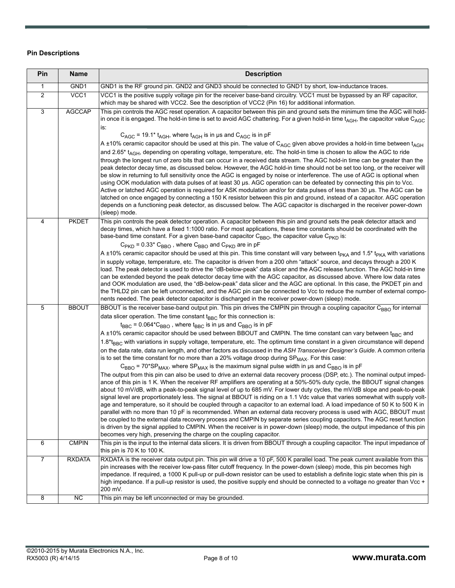#### **Pin Descriptions**

| Pin            | <b>Name</b>     | <b>Description</b>                                                                                                                                                                                                                                                                                                                                                                                                                                                                                                                                                                                                                                                                                                                                                                                                                                                                                                                                                                                                                                                                                                                                                                                                                                                                                                                                                                                                                                                                                                                                                                                                                                                                                                                                                                                                                                                                                                                                                                                                                                                                                                                                                                   |
|----------------|-----------------|--------------------------------------------------------------------------------------------------------------------------------------------------------------------------------------------------------------------------------------------------------------------------------------------------------------------------------------------------------------------------------------------------------------------------------------------------------------------------------------------------------------------------------------------------------------------------------------------------------------------------------------------------------------------------------------------------------------------------------------------------------------------------------------------------------------------------------------------------------------------------------------------------------------------------------------------------------------------------------------------------------------------------------------------------------------------------------------------------------------------------------------------------------------------------------------------------------------------------------------------------------------------------------------------------------------------------------------------------------------------------------------------------------------------------------------------------------------------------------------------------------------------------------------------------------------------------------------------------------------------------------------------------------------------------------------------------------------------------------------------------------------------------------------------------------------------------------------------------------------------------------------------------------------------------------------------------------------------------------------------------------------------------------------------------------------------------------------------------------------------------------------------------------------------------------------|
| $\mathbf{1}$   | GND1            | GND1 is the RF ground pin. GND2 and GND3 should be connected to GND1 by short, low-inductance traces.                                                                                                                                                                                                                                                                                                                                                                                                                                                                                                                                                                                                                                                                                                                                                                                                                                                                                                                                                                                                                                                                                                                                                                                                                                                                                                                                                                                                                                                                                                                                                                                                                                                                                                                                                                                                                                                                                                                                                                                                                                                                                |
| $\overline{2}$ | VCC1            | VCC1 is the positive supply voltage pin for the receiver base-band circuitry. VCC1 must be bypassed by an RF capacitor,<br>which may be shared with VCC2. See the description of VCC2 (Pin 16) for additional information.                                                                                                                                                                                                                                                                                                                                                                                                                                                                                                                                                                                                                                                                                                                                                                                                                                                                                                                                                                                                                                                                                                                                                                                                                                                                                                                                                                                                                                                                                                                                                                                                                                                                                                                                                                                                                                                                                                                                                           |
| 3              | <b>AGCCAP</b>   | This pin controls the AGC reset operation. A capacitor between this pin and ground sets the minimum time the AGC will hold-<br>in once it is engaged. The hold-in time is set to avoid AGC chattering. For a given hold-in time $t_{AGH}$ , the capacitor value C <sub>AGC</sub><br>is:<br>$C_{AGC}$ = 19.1* t <sub>AGH</sub> , where t <sub>AGH</sub> is in µs and $C_{AGC}$ is in pF<br>A ±10% ceramic capacitor should be used at this pin. The value of C <sub>AGC</sub> given above provides a hold-in time between t <sub>AGH</sub><br>and 2.65 <sup>*</sup> t <sub>AGH</sub> , depending on operating voltage, temperature, etc. The hold-in time is chosen to allow the AGC to ride<br>through the longest run of zero bits that can occur in a received data stream. The AGC hold-in time can be greater than the<br>peak detector decay time, as discussed below. However, the AGC hold-in time should not be set too long, or the receiver will<br>be slow in returning to full sensitivity once the AGC is engaged by noise or interference. The use of AGC is optional when<br>using OOK modulation with data pulses of at least 30 µs. AGC operation can be defeated by connecting this pin to Vcc.<br>Active or latched AGC operation is required for ASK modulation and/or for data pulses of less than 30 µs. The AGC can be<br>latched on once engaged by connecting a 150 K resistor between this pin and ground, instead of a capacitor. AGC operation<br>depends on a functioning peak detector, as discussed below. The AGC capacitor is discharged in the receiver power-down                                                                                                                                                                                                                                                                                                                                                                                                                                                                                                                                                                                 |
| 4              | <b>PKDET</b>    | (sleep) mode.<br>This pin controls the peak detector operation. A capacitor between this pin and ground sets the peak detector attack and<br>decay times, which have a fixed 1:1000 ratio. For most applications, these time constants should be coordinated with the<br>base-band time constant. For a given base-band capacitor $C_{\text{BBO}}$ , the capacitor value $C_{\text{PKD}}$ is:<br>$C_{\text{PKD}}$ = 0.33* $C_{\text{BBO}}$ , where $C_{\text{BBO}}$ and $C_{\text{PKD}}$ are in pF<br>A ±10% ceramic capacitor should be used at this pin. This time constant will vary between t <sub>PKA</sub> and 1.5 <sup>*</sup> t <sub>PKA</sub> with variations<br>in supply voltage, temperature, etc. The capacitor is driven from a 200 ohm "attack" source, and decays through a 200 K<br>load. The peak detector is used to drive the "dB-below-peak" data slicer and the AGC release function. The AGC hold-in time<br>can be extended beyond the peak detector decay time with the AGC capacitor, as discussed above. Where low data rates<br>and OOK modulation are used, the "dB-below-peak" data slicer and the AGC are optional. In this case, the PKDET pin and<br>the THLD2 pin can be left unconnected, and the AGC pin can be connected to Vcc to reduce the number of external compo-                                                                                                                                                                                                                                                                                                                                                                                                                                                                                                                                                                                                                                                                                                                                                                                                                                                                         |
| 5              | <b>BBOUT</b>    | nents needed. The peak detector capacitor is discharged in the receiver power-down (sleep) mode.<br>BBOUT is the receiver base-band output pin. This pin drives the CMPIN pin through a coupling capacitor C <sub>BBO</sub> for internal<br>data slicer operation. The time constant $t_{BBC}$ for this connection is:<br>$t_{BBC}$ = 0.064* $C_{BBO}$ , where $t_{BBC}$ is in µs and $C_{BBO}$ is in pF<br>A ±10% ceramic capacitor should be used between BBOUT and CMPIN. The time constant can vary between t <sub>BBC</sub> and<br>1.8*t <sub>BBC</sub> with variations in supply voltage, temperature, etc. The optimum time constant in a given circumstance will depend<br>on the data rate, data run length, and other factors as discussed in the ASH Transceiver Designer's Guide. A common criteria<br>is to set the time constant for no more than a 20% voltage droop during SP <sub>MAX</sub> . For this case:<br>$C_{BBO}$ = 70*SP <sub>MAX</sub> , where SP <sub>MAX</sub> is the maximum signal pulse width in us and C <sub>BBO</sub> is in pF<br>The output from this pin can also be used to drive an external data recovery process (DSP, etc.). The nominal output imped-<br>ance of this pin is 1 K. When the receiver RF amplifiers are operating at a 50%-50% duty cycle, the BBOUT signal changes<br>about 10 mV/dB, with a peak-to-peak signal level of up to 685 mV. For lower duty cycles, the mV/dB slope and peak-to-peak<br>signal level are proportionately less. The signal at BBOUT is riding on a 1.1 Vdc value that varies somewhat with supply volt-<br>age and temperature, so it should be coupled through a capacitor to an external load. A load impedance of 50 K to 500 K in<br>parallel with no more than 10 pF is recommended. When an external data recovery process is used with AGC, BBOUT must<br>be coupled to the external data recovery process and CMPIN by separate series coupling capacitors. The AGC reset function<br>is driven by the signal applied to CMPIN. When the receiver is in power-down (sleep) mode, the output impedance of this pin<br>becomes very high, preserving the charge on the coupling capacitor. |
| 6              | <b>CMPIN</b>    | This pin is the input to the internal data slicers. It is driven from BBOUT through a coupling capacitor. The input impedance of<br>this pin is 70 K to 100 K.                                                                                                                                                                                                                                                                                                                                                                                                                                                                                                                                                                                                                                                                                                                                                                                                                                                                                                                                                                                                                                                                                                                                                                                                                                                                                                                                                                                                                                                                                                                                                                                                                                                                                                                                                                                                                                                                                                                                                                                                                       |
| $\overline{7}$ | <b>RXDATA</b>   | RXDATA is the receiver data output pin. This pin will drive a 10 pF, 500 K parallel load. The peak current available from this<br>pin increases with the receiver low-pass filter cutoff frequency. In the power-down (sleep) mode, this pin becomes high<br>impedance. If required, a 1000 K pull-up or pull-down resistor can be used to establish a definite logic state when this pin is<br>high impedance. If a pull-up resistor is used, the positive supply end should be connected to a voltage no greater than Vcc +<br>200 mV.                                                                                                                                                                                                                                                                                                                                                                                                                                                                                                                                                                                                                                                                                                                                                                                                                                                                                                                                                                                                                                                                                                                                                                                                                                                                                                                                                                                                                                                                                                                                                                                                                                             |
| 8              | $\overline{NC}$ | This pin may be left unconnected or may be grounded.                                                                                                                                                                                                                                                                                                                                                                                                                                                                                                                                                                                                                                                                                                                                                                                                                                                                                                                                                                                                                                                                                                                                                                                                                                                                                                                                                                                                                                                                                                                                                                                                                                                                                                                                                                                                                                                                                                                                                                                                                                                                                                                                 |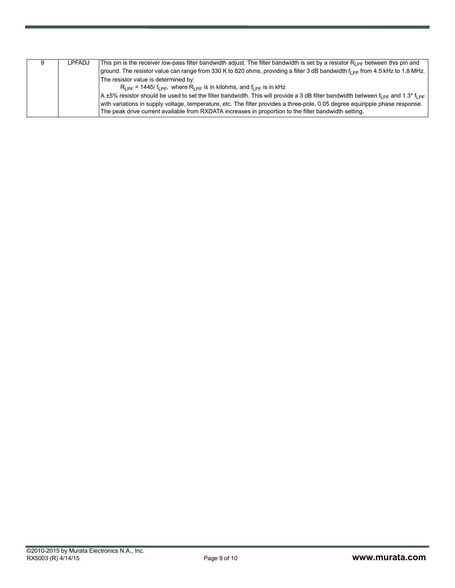| LPFADJ | This pin is the receiver low-pass filter bandwidth adjust. The filter bandwidth is set by a resistor $R_{\text{1p}}$ between this pin and |
|--------|-------------------------------------------------------------------------------------------------------------------------------------------|
|        | ground. The resistor value can range from 330 K to 820 ohms, providing a filter 3 dB bandwidth f <sub>L PF</sub> from 4.5 kHz to 1.8 MHz. |
|        | The resistor value is determined by:                                                                                                      |
|        | $R_{\text{I PF}}$ = 1445/ f <sub>l PF</sub> , where $R_{\text{I PF}}$ is in kilohms, and f <sub>l PF</sub> is in kHz                      |
|        | A ±5% resistor should be used to set the filter bandwidth. This will provide a 3 dB filter bandwidth between $f_{1PF}$ and 1.3* $f_{1PF}$ |
|        | with variations in supply voltage, temperature, etc. The filter provides a three-pole, 0.05 degree equiripple phase response.             |
|        | The peak drive current available from RXDATA increases in proportion to the filter bandwidth setting.                                     |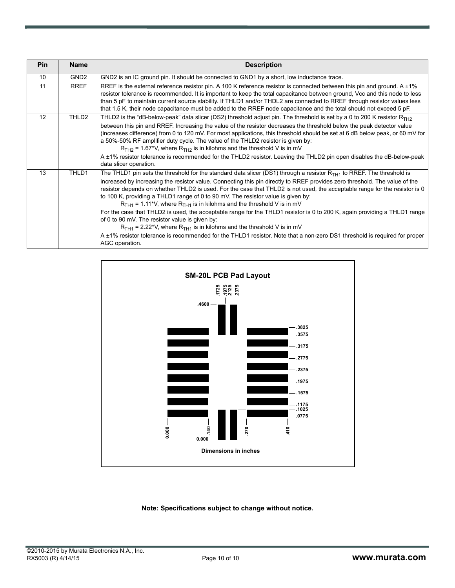| <b>Pin</b> | <b>Name</b>      | <b>Description</b>                                                                                                                                                                                                                                                                                                                                                                                                                                                                                                                                                                                                                                                                                                                                                                                                                                                                                                                                                |
|------------|------------------|-------------------------------------------------------------------------------------------------------------------------------------------------------------------------------------------------------------------------------------------------------------------------------------------------------------------------------------------------------------------------------------------------------------------------------------------------------------------------------------------------------------------------------------------------------------------------------------------------------------------------------------------------------------------------------------------------------------------------------------------------------------------------------------------------------------------------------------------------------------------------------------------------------------------------------------------------------------------|
| 10         | GND <sub>2</sub> | GND2 is an IC ground pin. It should be connected to GND1 by a short, low inductance trace.                                                                                                                                                                                                                                                                                                                                                                                                                                                                                                                                                                                                                                                                                                                                                                                                                                                                        |
| 11         | <b>RREF</b>      | RREF is the external reference resistor pin. A 100 K reference resistor is connected between this pin and ground. A ±1%<br>resistor tolerance is recommended. It is important to keep the total capacitance between ground, Vcc and this node to less<br>than 5 pF to maintain current source stability. If THLD1 and/or THDL2 are connected to RREF through resistor values less<br>that 1.5 K, their node capacitance must be added to the RREF node capacitance and the total should not exceed 5 pF.                                                                                                                                                                                                                                                                                                                                                                                                                                                          |
| 12         | THLD2            | THLD2 is the "dB-below-peak" data slicer (DS2) threshold adjust pin. The threshold is set by a 0 to 200 K resistor $R_{TH2}$<br>between this pin and RREF. Increasing the value of the resistor decreases the threshold below the peak detector value<br>(increases difference) from 0 to 120 mV. For most applications, this threshold should be set at 6 dB below peak, or 60 mV for<br>a 50%-50% RF amplifier duty cycle. The value of the THLD2 resistor is given by:<br>$RTH2$ = 1.67*V, where $RTH2$ is in kilohms and the threshold V is in mV<br>A ±1% resistor tolerance is recommended for the THLD2 resistor. Leaving the THLD2 pin open disables the dB-below-peak<br>data slicer operation.                                                                                                                                                                                                                                                          |
| 13         | THLD1            | The THLD1 pin sets the threshold for the standard data slicer (DS1) through a resistor $R_{TH1}$ to RREF. The threshold is<br>increased by increasing the resistor value. Connecting this pin directly to RREF provides zero threshold. The value of the<br>resistor depends on whether THLD2 is used. For the case that THLD2 is not used, the acceptable range for the resistor is 0<br>to 100 K, providing a THLD1 range of 0 to 90 mV. The resistor value is given by:<br>$RTH1 = 1.11*V$ , where $RTH1$ is in kilohms and the threshold V is in mV<br>For the case that THLD2 is used, the acceptable range for the THLD1 resistor is 0 to 200 K, again providing a THLD1 range<br>of 0 to 90 mV. The resistor value is given by:<br>$RTH1$ = 2.22*V, where $RTH1$ is in kilohms and the threshold V is in mV<br>A ±1% resistor tolerance is recommended for the THLD1 resistor. Note that a non-zero DS1 threshold is required for proper<br>AGC operation. |



#### **Note: Specifications subject to change without notice.**